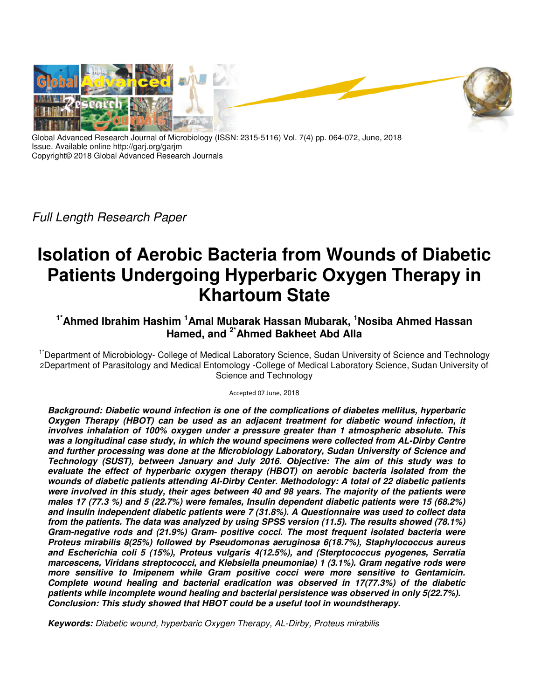

Global Advanced Research Journal of Microbiology (ISSN: 2315-5116) Vol. 7(4) pp. 064-072, June, 2018 Issue. Available online http://garj.org/garjm Copyright© 2018 Global Advanced Research Journals

*Full Length Research Paper* 

# **Isolation of Aerobic Bacteria from Wounds of Diabetic Patients Undergoing Hyperbaric Oxygen Therapy in Khartoum State**

## **1\*Ahmed Ibrahim Hashim <sup>1</sup>Amal Mubarak Hassan Mubarak, <sup>1</sup>Nosiba Ahmed Hassan Hamed, and 2\*Ahmed Bakheet Abd Alla**

<sup>1\*</sup>Department of Microbiology- College of Medical Laboratory Science, Sudan University of Science and Technology 2Department of Parasitology and Medical Entomology -College of Medical Laboratory Science, Sudan University of Science and Technology

Accepted 07 June, 2018

*Background: Diabetic wound infection is one of the complications of diabetes mellitus, hyperbaric Oxygen Therapy (HBOT) can be used as an adjacent treatment for diabetic wound infection, it involves inhalation of 100% oxygen under a pressure greater than 1 atmospheric absolute. This*  was a longitudinal case study, in which the wound specimens were collected from AL-Dirby Centre *and further processing was done at the Microbiology Laboratory, Sudan University of Science and Technology (SUST), between January and July 2016. Objective: The aim of this study was to evaluate the effect of hyperbaric oxygen therapy (HBOT) on aerobic bacteria isolated from the wounds of diabetic patients attending Al-Dirby Center. Methodology: A total of 22 diabetic patients were involved in this study, their ages between 40 and 98 years. The majority of the patients were males 17 (77.3 %) and 5 (22.7%) were females, Insulin dependent diabetic patients were 15 (68.2%) and insulin independent diabetic patients were 7 (31.8%). A Questionnaire was used to collect data from the patients. The data was analyzed by using SPSS version (11.5). The results showed (78.1%) Gram-negative rods and (21.9%) Gram- positive cocci. The most frequent isolated bacteria were Proteus mirabilis 8(25%) followed by Pseudomonas aeruginosa 6(18.7%), Staphylococcus aureus and Escherichia coli 5 (15%), Proteus vulgaris 4(12.5%), and (Sterptococcus pyogenes, Serratia marcescens, Viridans streptococci, and Klebsiella pneumoniae) 1 (3.1%). Gram negative rods were more sensitive to Imipenem while Gram positive cocci were more sensitive to Gentamicin. Complete wound healing and bacterial eradication was observed in 17(77.3%) of the diabetic patients while incomplete wound healing and bacterial persistence was observed in only 5(22.7%). Conclusion: This study showed that HBOT could be a useful tool in woundstherapy.* 

*Keywords: Diabetic wound, hyperbaric Oxygen Therapy, AL-Dirby, Proteus mirabilis*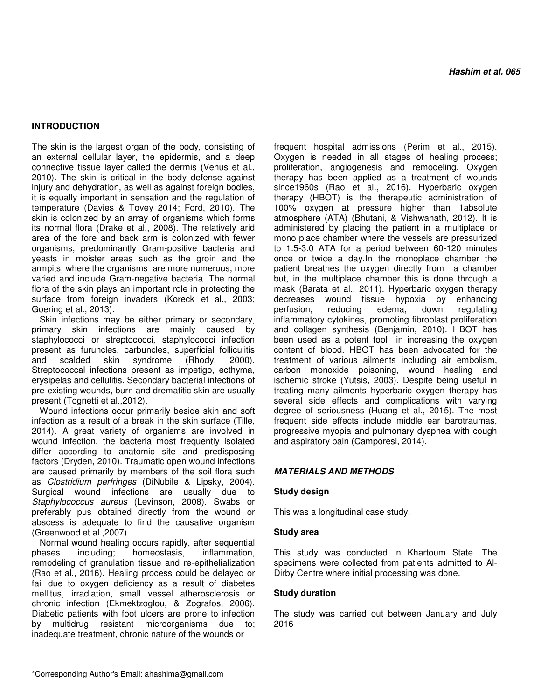## **INTRODUCTION**

The skin is the largest organ of the body, consisting of an external cellular layer, the epidermis, and a deep connective tissue layer called the dermis (Venus et al., 2010). The skin is critical in the body defense against injury and dehydration, as well as against foreign bodies, it is equally important in sensation and the regulation of temperature (Davies & Tovey 2014; Ford, 2010). The skin is colonized by an array of organisms which forms its normal flora (Drake et al., 2008). The relatively arid area of the fore and back arm is colonized with fewer organisms, predominantly Gram-positive bacteria and yeasts in moister areas such as the groin and the armpits, where the organisms are more numerous, more varied and include Gram-negative bacteria. The normal flora of the skin plays an important role in protecting the surface from foreign invaders (Koreck et al., 2003; Goering et al., 2013).

Skin infections may be either primary or secondary, primary skin infections are mainly caused by staphylococci or streptococci, staphylococci infection present as furuncles, carbuncles, superficial folliculitis and scalded skin syndrome (Rhody, 2000). Streptococcal infections present as impetigo, ecthyma, erysipelas and cellulitis. Secondary bacterial infections of pre-existing wounds, burn and drematitic skin are usually present (Tognetti et al.,2012).

Wound infections occur primarily beside skin and soft infection as a result of a break in the skin surface (Tille, 2014). A great variety of organisms are involved in wound infection, the bacteria most frequently isolated differ according to anatomic site and predisposing factors (Dryden, 2010). Traumatic open wound infections are caused primarily by members of the soil flora such as *Clostridium perfringes* (DiNubile & Lipsky, 2004)*.*  Surgical wound infections are usually due to *Staphylococcus aureus* (Levinson, 2008). Swabs or preferably pus obtained directly from the wound or abscess is adequate to find the causative organism (Greenwood et al.,2007).

Normal wound healing occurs rapidly, after sequential phases including; homeostasis, inflammation, remodeling of granulation tissue and re-epithelialization (Rao et al., 2016). Healing process could be delayed or fail due to oxygen deficiency as a result of diabetes mellitus, irradiation, small vessel atherosclerosis or chronic infection (Ekmektzoglou, & Zografos, 2006). Diabetic patients with foot ulcers are prone to infection by multidrug resistant microorganisms due to; inadequate treatment, chronic nature of the wounds or

frequent hospital admissions (Perim et al., 2015). Oxygen is needed in all stages of healing process; proliferation, angiogenesis and remodeling. Oxygen therapy has been applied as a treatment of wounds since1960s (Rao et al., 2016). Hyperbaric oxygen therapy (HBOT) is the therapeutic administration of 100% oxygen at pressure higher than 1absolute atmosphere (ATA) (Bhutani, & Vishwanath, 2012). It is administered by placing the patient in a multiplace or mono place chamber where the vessels are pressurized to 1.5-3.0 ATA for a period between 60-120 minutes once or twice a day.In the monoplace chamber the patient breathes the oxygen directly from a chamber but, in the multiplace chamber this is done through a mask (Barata et al., 2011). Hyperbaric oxygen therapy decreases wound tissue hypoxia by enhancing perfusion, reducing edema, down regulating inflammatory cytokines, promoting fibroblast proliferation and collagen synthesis (Benjamin, 2010). HBOT has been used as a potent tool in increasing the oxygen content of blood. HBOT has been advocated for the treatment of various ailments including air embolism, carbon monoxide poisoning, wound healing and ischemic stroke (Yutsis, 2003). Despite being useful in treating many ailments hyperbaric oxygen therapy has several side effects and complications with varying degree of seriousness (Huang et al., 2015). The most frequent side effects include middle ear barotraumas, progressive myopia and pulmonary dyspnea with cough and aspiratory pain (Camporesi, 2014).

## *MATERIALS AND METHODS*

## **Study design**

This was a longitudinal case study.

## **Study area**

This study was conducted in Khartoum State. The specimens were collected from patients admitted to Al-Dirby Centre where initial processing was done.

## **Study duration**

The study was carried out between January and July 2016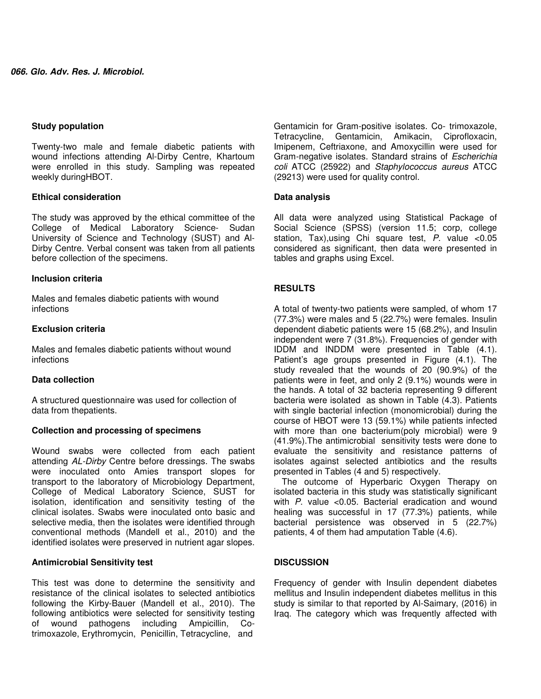## **Study population**

Twenty-two male and female diabetic patients with wound infections attending Al-Dirby Centre, Khartoum were enrolled in this study. Sampling was repeated weekly duringHBOT.

## **Ethical consideration**

The study was approved by the ethical committee of the College of Medical Laboratory Science- Sudan University of Science and Technology (SUST) and Al-Dirby Centre. Verbal consent was taken from all patients before collection of the specimens.

## **Inclusion criteria**

Males and females diabetic patients with wound infections

## **Exclusion criteria**

Males and females diabetic patients without wound infections

## **Data collection**

A structured questionnaire was used for collection of data from thepatients.

## **Collection and processing of specimens**

Wound swabs were collected from each patient attending *AL-Dirby* Centre before dressings. The swabs were inoculated onto Amies transport slopes for transport to the laboratory of Microbiology Department, College of Medical Laboratory Science, SUST for isolation, identification and sensitivity testing of the clinical isolates. Swabs were inoculated onto basic and selective media, then the isolates were identified through conventional methods (Mandell et al., 2010) and the identified isolates were preserved in nutrient agar slopes.

## **Antimicrobial Sensitivity test**

This test was done to determine the sensitivity and resistance of the clinical isolates to selected antibiotics following the Kirby-Bauer (Mandell et al., 2010). The following antibiotics were selected for sensitivity testing of wound pathogens including Ampicillin, Cotrimoxazole, Erythromycin, Penicillin, Tetracycline, and

Gentamicin for Gram-positive isolates. Co- trimoxazole, Tetracycline, Gentamicin, Amikacin, Ciprofloxacin, Imipenem, Ceftriaxone, and Amoxycillin were used for Gram-negative isolates. Standard strains of *Escherichia coli* ATCC (25922) and *Staphylococcus aureus* ATCC (29213) were used for quality control.

## **Data analysis**

All data were analyzed using Statistical Package of Social Science (SPSS) (version 11.5; corp, college station, Tax),using Chi square test, *P*. value <0.05 considered as significant, then data were presented in tables and graphs using Excel.

## **RESULTS**

A total of twenty-two patients were sampled, of whom 17 (77.3%) were males and 5 (22.7%) were females. Insulin dependent diabetic patients were 15 (68.2%), and Insulin independent were 7 (31.8%). Frequencies of gender with IDDM and INDDM were presented in Table (4.1). Patient's age groups presented in Figure (4.1). The study revealed that the wounds of 20 (90.9%) of the patients were in feet, and only 2 (9.1%) wounds were in the hands. A total of 32 bacteria representing 9 different bacteria were isolated as shown in Table (4.3). Patients with single bacterial infection (monomicrobial) during the course of HBOT were 13 (59.1%) while patients infected with more than one bacterium(poly microbial) were 9 (41.9%).The antimicrobial sensitivity tests were done to evaluate the sensitivity and resistance patterns of isolates against selected antibiotics and the results presented in Tables (4 and 5) respectively.

The outcome of Hyperbaric Oxygen Therapy on isolated bacteria in this study was statistically significant with *P*. value <0.05. Bacterial eradication and wound healing was successful in 17 (77.3%) patients, while bacterial persistence was observed in 5 (22.7%) patients, 4 of them had amputation Table (4.6).

## **DISCUSSION**

Frequency of gender with Insulin dependent diabetes mellitus and Insulin independent diabetes mellitus in this study is similar to that reported by Al-Saimary, (2016) in Iraq. The category which was frequently affected with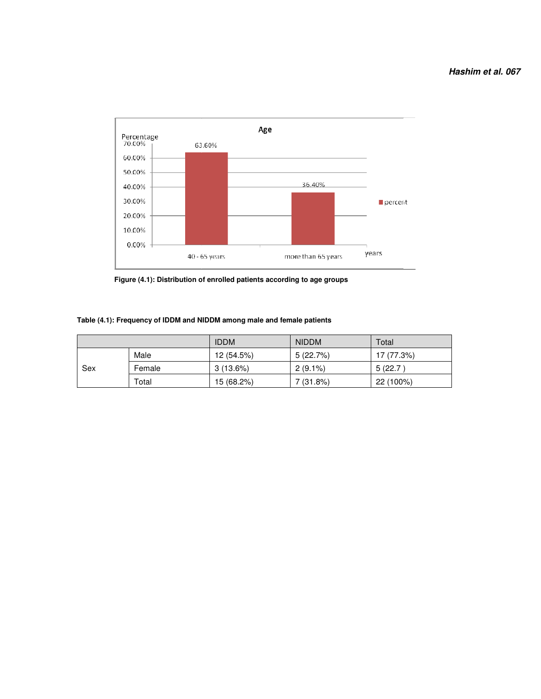

**Figure (4.1): Distribution of enrolled patients according to age groups** 

|     |        | <b>IDDM</b> | <b>NIDDM</b> | Total      |
|-----|--------|-------------|--------------|------------|
|     | Male   | 12 (54.5%)  | 5(22.7%)     | 17 (77.3%) |
| Sex | Female | $3(13.6\%)$ | $2(9.1\%)$   | 5 (22.7)   |
|     | Total  | 15 (68.2%)  | 7 (31.8%)    | 22 (100%)  |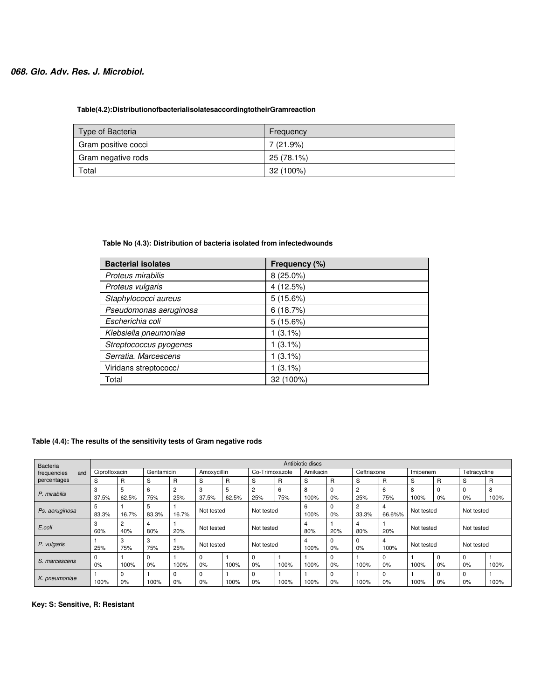## *068. Glo. Adv. Res. J. Microbiol.*

## **Table(4.2):DistributionofbacterialisolatesaccordingtotheirGramreaction**

| Type of Bacteria    | Frequency   |
|---------------------|-------------|
| Gram positive cocci | $7(21.9\%)$ |
| Gram negative rods  | 25 (78.1%)  |
| Total               | 32 (100%)   |

## **Table No (4.3): Distribution of bacteria isolated from infectedwounds**

| <b>Bacterial isolates</b> | Frequency (%) |
|---------------------------|---------------|
| Proteus mirabilis         | 8 (25.0%)     |
| Proteus vulgaris          | 4 (12.5%)     |
| Staphylococci aureus      | 5(15.6%)      |
| Pseudomonas aeruginosa    | 6(18.7%)      |
| Escherichia coli          | 5(15.6%)      |
| Klebsiella pneumoniae     | $(3.1\%)$     |
| Streptococcus pyogenes    | 1 (3.1%)      |
| Serratia. Marcescens      | 1 (3.1%)      |
| Viridans streptococci     | $(3.1\%)$     |
| Total                     | 32 (100%)     |

## **Table (4.4): The results of the sensitivity tests of Gram negative rods**

| Bacteria           |               | Antibiotic discs |            |          |                |              |                       |          |           |              |             |                   |            |            |                   |           |
|--------------------|---------------|------------------|------------|----------|----------------|--------------|-----------------------|----------|-----------|--------------|-------------|-------------------|------------|------------|-------------------|-----------|
| frequencies<br>and | Ciprofloxacin |                  | Gentamicin |          | Amoxycillin    |              | Co-Trimoxazole        |          | Amikacin  |              | Ceftriaxone |                   | Imipenem   |            | Tetracycline      |           |
| percentages        | S             | R                | S          | R        | S              | $\mathsf{R}$ | S                     | R        | S         | $\mathsf{R}$ | S           | <b>R</b>          | S          | R          | S                 | R         |
| P. mirabilis       | 3<br>37.5%    | 5<br>62.5%       | 6<br>75%   | 2<br>25% | 3<br>37.5%     | 5<br>62.5%   | $\overline{2}$<br>25% | 6<br>75% | 8<br>100% | 0<br>0%      | 2<br>25%    | 6<br>75%          | 8<br>100%  | 0%         | 0<br>$0\%$        | 8<br>100% |
| Ps. aeruginosa     | 5<br>83.3%    | 16.7%            | 5<br>83.3% | 16.7%    | Not tested     |              | Not tested            |          | 6<br>100% | 0<br>0%      | 2<br>33.3%  | 66.6%%            | Not tested |            | Not tested        |           |
| E.coli             | 3<br>60%      | 2<br>40%         | 80%        | 20%      | Not tested     |              | Not tested            |          | 4<br>80%  | 20%          | 80%         | 20%               | Not tested |            | Not tested        |           |
| P. vulgaris        | 25%           | 3<br>75%         | 3<br>75%   | 25%      | Not tested     |              | Not tested            |          | 4<br>100% | 0<br>0%      | 0<br>0%     | 4<br>100%         | Not tested |            | Not tested        |           |
| S. marcescens      | 0<br>0%       | 100%             | 0<br>0%    | 100%     | 0%             | 100%         | $\Omega$<br>0%        | 100%     | 100%      | 0<br>0%      | 100%        | $\Omega$<br>$0\%$ | 100%       | 0<br>$0\%$ | $\Omega$<br>0%    | 100%      |
| K. pneumoniae      | 100%          | 0<br>0%          | 100%       | 0<br>0%  | $\Omega$<br>0% | 100%         | $\Omega$<br>0%        | 100%     | 100%      | 0<br>0%      | 100%        | $\Omega$<br>0%    | 100%       | 0<br>0%    | $\Omega$<br>$0\%$ | 100%      |

**Key: S: Sensitive, R: Resistant**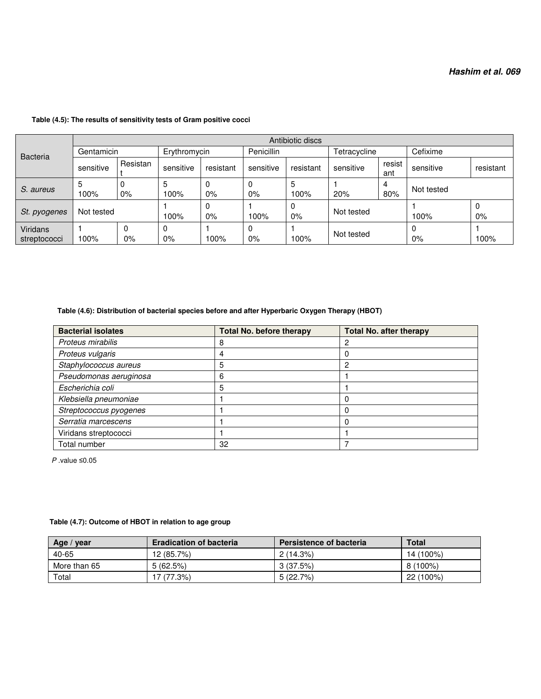|                          |            | Antibiotic discs |              |           |            |            |              |               |            |           |  |  |
|--------------------------|------------|------------------|--------------|-----------|------------|------------|--------------|---------------|------------|-----------|--|--|
| <b>Bacteria</b>          | Gentamicin |                  | Erythromycin |           | Penicillin |            | Tetracycline |               | Cefixime   |           |  |  |
|                          | sensitive  | Resistan         | sensitive    | resistant | sensitive  | resistant  | sensitive    | resist<br>ant | sensitive  | resistant |  |  |
| S. aureus                | 5<br>100%  | $0\%$            | 5<br>100%    | 0%        | 0<br>$0\%$ | 5<br>100%  | 20%          | 4<br>80%      | Not tested |           |  |  |
| St. pyogenes             | Not tested |                  | 100%         | $0\%$     | 100%       | 0<br>$0\%$ | Not tested   |               | 100%       | $0\%$     |  |  |
| Viridans<br>streptococci | 100%       | 0%               | 0<br>0%      | 100%      | 0<br>$0\%$ | 100%       | Not tested   |               | $0\%$      | 100%      |  |  |

## **Table (4.5): The results of sensitivity tests of Gram positive cocci**

## **Table (4.6): Distribution of bacterial species before and after Hyperbaric Oxygen Therapy (HBOT)**

| <b>Bacterial isolates</b> | <b>Total No. before therapy</b> | <b>Total No. after therapy</b> |  |  |
|---------------------------|---------------------------------|--------------------------------|--|--|
| Proteus mirabilis         | 8                               |                                |  |  |
| Proteus vulgaris          | 4                               |                                |  |  |
| Staphylococcus aureus     | 5                               | റ                              |  |  |
| Pseudomonas aeruginosa    | 6                               |                                |  |  |
| Escherichia coli          | 5                               |                                |  |  |
| Klebsiella pneumoniae     |                                 |                                |  |  |
| Streptococcus pyogenes    |                                 |                                |  |  |
| Serratia marcescens       |                                 |                                |  |  |
| Viridans streptococci     |                                 |                                |  |  |
| Total number              | 32                              |                                |  |  |

 *P* .value ≤0.05

## **Table (4.7): Outcome of HBOT in relation to age group**

| Age $/$<br>vear | <b>Eradication of bacteria</b> | <b>Persistence of bacteria</b> | <b>Total</b> |
|-----------------|--------------------------------|--------------------------------|--------------|
| 40-65           | 12 (85.7%)                     | $2(14.3\%)$                    | 14 (100%)    |
| More than 65    | 5(62.5%)                       | 3(37.5%)                       | 8 (100%)     |
| Total           | 17 (77.3%)                     | 5 (22.7%)                      | 22 (100%)    |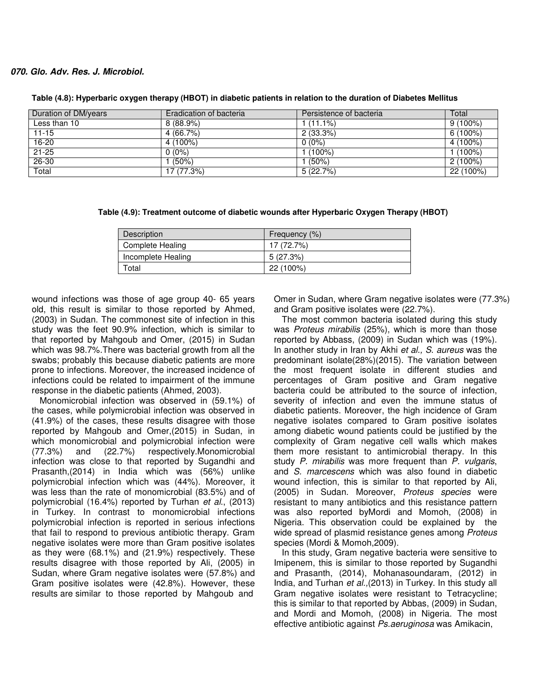#### *070. Glo. Adv. Res. J. Microbiol.*

| Duration of DM/years | Eradication of bacteria | Persistence of bacteria | Total      |
|----------------------|-------------------------|-------------------------|------------|
| Less than 10         | $8(88.9\%)$             | (11.1%)                 | $9(100\%)$ |
| $11 - 15$            | 4 (66.7%)               | 2(33.3%)                | $6(100\%)$ |
| $16 - 20$            | 4 (100%)                | $0(0\%)$                | 4 (100%)   |
| $21 - 25$            | $0(0\%)$                | $(100\%)$               | $(100\%)$  |
| $26 - 30$            | $(50\%)$                | $(50\%)$                | $2(100\%)$ |
| Total                | 17 (77.3%)              | 5(22.7%)                | 22 (100%)  |

**Table (4.8): Hyperbaric oxygen therapy (HBOT) in diabetic patients in relation to the duration of Diabetes Mellitus** 

| Description        | Frequency (%) |
|--------------------|---------------|
| Complete Healing   | 17 (72.7%)    |
| Incomplete Healing | 5(27.3%)      |
| Total              | 22 (100%)     |

wound infections was those of age group 40- 65 years old, this result is similar to those reported by Ahmed, (2003) in Sudan. The commonest site of infection in this study was the feet 90.9% infection, which is similar to that reported by Mahgoub and Omer, (2015) in Sudan which was 98.7%.There was bacterial growth from all the swabs; probably this because diabetic patients are more prone to infections. Moreover, the increased incidence of infections could be related to impairment of the immune response in the diabetic patients (Ahmed, 2003).

Monomicrobial infection was observed in (59.1%) of the cases, while polymicrobial infection was observed in (41.9%) of the cases, these results disagree with those reported by Mahgoub and Omer,(2015) in Sudan, in which monomicrobial and polymicrobial infection were (77.3%) and (22.7%) respectively.Monomicrobial infection was close to that reported by Sugandhi and Prasanth,(2014) in India which was (56%) unlike polymicrobial infection which was (44%). Moreover, it was less than the rate of monomicrobial (83.5%) and of polymicrobial (16.4%) reported by Turhan *et al*., (2013) in Turkey. In contrast to monomicrobial infections polymicrobial infection is reported in serious infections that fail to respond to previous antibiotic therapy. Gram negative isolates were more than Gram positive isolates as they were (68.1%) and (21.9%) respectively. These results disagree with those reported by Ali, (2005) in Sudan, where Gram negative isolates were (57.8%) and Gram positive isolates were (42.8%). However, these results are similar to those reported by Mahgoub and

Omer in Sudan, where Gram negative isolates were (77.3%) and Gram positive isolates were (22.7%).

The most common bacteria isolated during this study was *Proteus mirabilis* (25%), which is more than those reported by Abbass, (2009) in Sudan which was (19%). In another study in Iran by Akhi *et al., S*. *aureus* was the predominant isolate(28%)(2015). The variation between the most frequent isolate in different studies and percentages of Gram positive and Gram negative bacteria could be attributed to the source of infection, severity of infection and even the immune status of diabetic patients. Moreover, the high incidence of Gram negative isolates compared to Gram positive isolates among diabetic wound patients could be justified by the complexity of Gram negative cell walls which makes them more resistant to antimicrobial therapy. In this study *P. mirabilis* was more frequent than *P. vulgaris*, and *S. marcescens* which was also found in diabetic wound infection, this is similar to that reported by Ali, (2005) in Sudan. Moreover, *Proteus species* were resistant to many antibiotics and this resistance pattern was also reported byMordi and Momoh, (2008) in Nigeria. This observation could be explained by the wide spread of plasmid resistance genes among *Proteus*  species (Mordi & Momoh,2009).

In this study, Gram negative bacteria were sensitive to Imipenem, this is similar to those reported by Sugandhi and Prasanth, (2014), Mohanasoundaram, (2012) in India, and Turhan *et al.,*(2013) in Turkey. In this study all Gram negative isolates were resistant to Tetracycline; this is similar to that reported by Abbas, (2009) in Sudan, and Mordi and Momoh, (2008) in Nigeria. The most effective antibiotic against *Ps.aeruginosa* was Amikacin,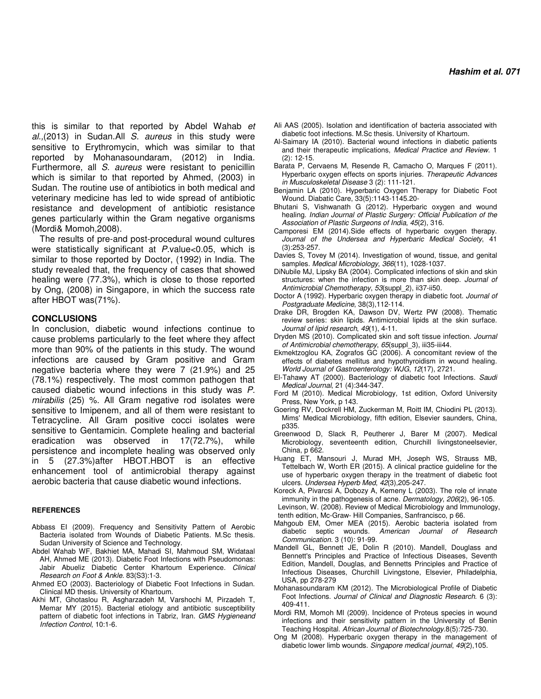this is similar to that reported by Abdel Wahab *et al.,*(2013) in Sudan.All *S. aureus* in this study were sensitive to Erythromycin, which was similar to that reported by Mohanasoundaram, (2012) in India. Furthermore, all *S. aureus* were resistant to penicillin which is similar to that reported by Ahmed, (2003) in Sudan. The routine use of antibiotics in both medical and veterinary medicine has led to wide spread of antibiotic resistance and development of antibiotic resistance genes particularly within the Gram negative organisms (Mordi& Momoh,2008).

The results of pre-and post-procedural wound cultures were statistically significant at *P*.value<0.05, which is similar to those reported by Doctor, (1992) in India. The study revealed that, the frequency of cases that showed healing were (77.3%), which is close to those reported by Ong, (2008) in Singapore, in which the success rate after HBOT was(71%).

#### **CONCLUSIONS**

In conclusion, diabetic wound infections continue to cause problems particularly to the feet where they affect more than 90% of the patients in this study. The wound infections are caused by Gram positive and Gram negative bacteria where they were 7 (21.9%) and 25 (78.1%) respectively. The most common pathogen that caused diabetic wound infections in this study was *P. mirabilis* (25) %. All Gram negative rod isolates were sensitive to Imipenem, and all of them were resistant to Tetracycline. All Gram positive cocci isolates were sensitive to Gentamicin. Complete healing and bacterial eradication was observed in 17(72.7%), while persistence and incomplete healing was observed only in 5 (27.3%)after HBOT.HBOT is an effective enhancement tool of antimicrobial therapy against aerobic bacteria that cause diabetic wound infections.

#### **REFERENCES**

- Abbass EI (2009). Frequency and Sensitivity Pattern of Aerobic Bacteria isolated from Wounds of Diabetic Patients. M.Sc thesis. Sudan University of Science and Technology.
- Abdel Wahab WF, Bakhiet MA, Mahadi SI, Mahmoud SM, Widataal AH, Ahmed ME (2013). Diabetic Foot Infections with Pseudomonas: Jabir Abueliz Diabetic Center Khartoum Experience. *Clinical Research on Foot & Ankle*. 83(S3):1-3.
- Ahmed EO (2003). Bacteriology of Diabetic Foot Infections in Sudan. Clinical MD thesis. University of Khartoum.
- Akhi MT, Ghotaslou R, Asgharzadeh M, Varshochi M, Pirzadeh T, Memar MY (2015). Bacterial etiology and antibiotic susceptibility pattern of diabetic foot infections in Tabriz, Iran. *GMS Hygieneand Infection Control*, 10:1-6.
- Ali AAS (2005). Isolation and identification of bacteria associated with diabetic foot infections. M.Sc thesis. University of Khartoum.
- Al-Saimary IA (2010). Bacterial wound infections in diabetic patients and their therapeutic implications, *Medical Practice and Review*. 1 (2): 12-15.
- Barata P, Cervaens M, Resende R, Camacho O, Marques F (2011). Hyperbaric oxygen effects on sports injuries. *Therapeutic Advances in Musculoskeletal Disease* 3 (2): 111-121.
- Benjamin LA (2010). Hyperbaric Oxygen Therapy for Diabetic Foot Wound. Diabatic Care, 33(5):1143-1145.20-
- Bhutani S, Vishwanath G (2012). Hyperbaric oxygen and wound healing. *Indian Journal of Plastic Surgery: Official Publication of the Association of Plastic Surgeons of India*, *45*(2), 316.
- Camporesi EM (2014).Side effects of hyperbaric oxygen therapy. *Journal of the Undersea and Hyperbaric Medical Society*, 41 (3):253-257.
- Davies S, Tovey M (2014). Investigation of wound, tissue, and genital samples. *Medical Microbiology*, *366*(11), 1028-1037.
- DiNubile MJ, Lipsky BA (2004). Complicated infections of skin and skin structures: when the infection is more than skin deep. *Journal of Antimicrobial Chemotherapy*, *53*(suppl\_2), ii37-ii50.
- Doctor A (1992). Hyperbaric oxygen therapy in diabetic foot. *Journal of Postgraduate Medicine*, 38(3),112-114.
- Drake DR, Brogden KA, Dawson DV, Wertz PW (2008). Thematic review series: skin lipids. Antimicrobial lipids at the skin surface. *Journal of lipid research*, *49*(1), 4-11.
- Dryden MS (2010). Complicated skin and soft tissue infection. *Journal of Antimicrobial chemotherapy*, *65*(suppl\_3), iii35-iii44.
- Ekmektzoglou KA, Zografos GC (2006). A concomitant review of the effects of diabetes mellitus and hypothyroidism in wound healing. *World Journal of Gastroenterology: WJG*, *12*(17), 2721.
- El-Tahawy AT (2000). Bacteriology of diabetic foot Infections. *Saudi Medical Journal*, 21 (4):344-347.
- Ford M (2010). Medical Microbiology, 1st edition, Oxford University Press, New York, p 143.
- Goering RV, Dockrell HM, Zuckerman M, Roitt IM, Chiodini PL (2013). Mims' Medical Microbiology, fifth edition, Elsevier saunders, China, p335.
- Greenwood D, Slack R, Peutherer J, Barer M (2007). Medical Microbiology, seventeenth edition, Churchill livingstoneelsevier, China, p 662.
- Huang ET, Mansouri J, Murad MH, Joseph WS, Strauss MB, Tettelbach W, Worth ER (2015). A clinical practice guideline for the use of hyperbaric oxygen therapy in the treatment of diabetic foot ulcers. *Undersea Hyperb Med*, *42*(3),205-247.
- Koreck A, Pivarcsi A, Dobozy A, Kemeny L (2003). The role of innate immunity in the pathogenesis of acne. *Dermatology*, *206*(2), 96-105.
- Levinson, W. (2008). Review of Medical Microbiology and Immunology, tenth edition, Mc-Graw- Hill Companies, Sanfrancisco, p 66.
- Mahgoub EM, Omer MEA (2015). Aerobic bacteria isolated from diabetic septic wounds. *American Journal of Research Communication*. 3 (10): 91-99.
- Mandell GL, Bennett JE, Dolin R (2010). Mandell, Douglass and Bennett's Principles and Practice of Infectious Diseases, Seventh Edition, Mandell, Douglas, and Bennetts Principles and Practice of Infectious Diseases, Churchill Livingstone, Elsevier, Philadelphia, USA, pp 278-279
- Mohanasoundaram KM (2012). The Microbiological Profile of Diabetic Foot Infections. *Journal of Clinical and Diagnostic Research*. 6 (3): 409-411.
- Mordi RM, Momoh MI (2009). Incidence of Proteus species in wound infections and their sensitivity pattern in the University of Benin Teaching Hospital. *African Journal of Biotechnology*.8(5):725-730.
- Ong M (2008). Hyperbaric oxygen therapy in the management of diabetic lower limb wounds. *Singapore medical journal*, *49*(2),105.